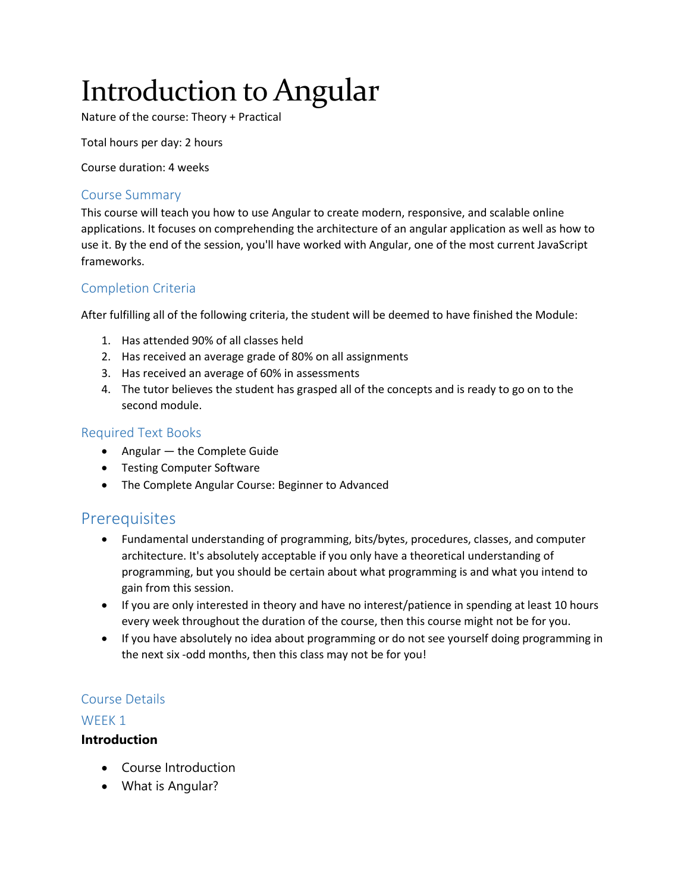# Introduction to Angular

Nature of the course: Theory + Practical

Total hours per day: 2 hours

Course duration: 4 weeks

# Course Summary

This course will teach you how to use Angular to create modern, responsive, and scalable online applications. It focuses on comprehending the architecture of an angular application as well as how to use it. By the end of the session, you'll have worked with Angular, one of the most current JavaScript frameworks.

# Completion Criteria

After fulfilling all of the following criteria, the student will be deemed to have finished the Module:

- 1. Has attended 90% of all classes held
- 2. Has received an average grade of 80% on all assignments
- 3. Has received an average of 60% in assessments
- 4. The tutor believes the student has grasped all of the concepts and is ready to go on to the second module.

# Required Text Books

- Angular the [Complete Guide](https://click.linksynergy.com/fs-bin/click?id=JVFxdTr9V80&subid=0&offerid=323058.1&type=10&tmpid=14538&RD_PARM1=https%3A%2F%2Fwww.udemy.com%2Fthe-complete-guide-to-angular-2%2F)
- Testing Computer Software
- [The Complete Angular Course: Beginner to Advanced](https://click.linksynergy.com/deeplink?id=JVFxdTr9V80&mid=39197&murl=https%3A%2F%2Fwww.udemy.com%2Fcourse%2Fthe-complete-angular-master-class%2F)

# **Prerequisites**

- Fundamental understanding of programming, bits/bytes, procedures, classes, and computer architecture. It's absolutely acceptable if you only have a theoretical understanding of programming, but you should be certain about what programming is and what you intend to gain from this session.
- If you are only interested in theory and have no interest/patience in spending at least 10 hours every week throughout the duration of the course, then this course might not be for you.
- If you have absolutely no idea about programming or do not see yourself doing programming in the next six -odd months, then this class may not be for you!

# Course Details

# WEEK<sub>1</sub>

# **Introduction**

- Course Introduction
- What is Angular?